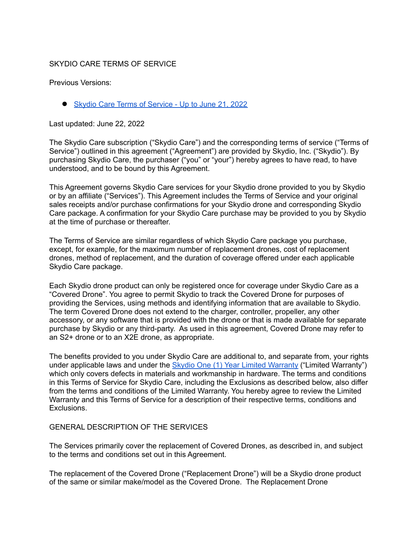## SKYDIO CARE TERMS OF SERVICE

Previous Versions:

● Skydio Care Terms of [Service](https://skydio.com/legal/skydio-care-tos-archive-20220621) - Up to June 21, 2022

Last updated: June 22, 2022

The Skydio Care subscription ("Skydio Care") and the corresponding terms of service ("Terms of Service") outlined in this agreement ("Agreement") are provided by Skydio, Inc. ("Skydio"). By purchasing Skydio Care, the purchaser ("you" or "your") hereby agrees to have read, to have understood, and to be bound by this Agreement.

This Agreement governs Skydio Care services for your Skydio drone provided to you by Skydio or by an affiliate ("Services"). This Agreement includes the Terms of Service and your original sales receipts and/or purchase confirmations for your Skydio drone and corresponding Skydio Care package. A confirmation for your Skydio Care purchase may be provided to you by Skydio at the time of purchase or thereafter.

The Terms of Service are similar regardless of which Skydio Care package you purchase, except, for example, for the maximum number of replacement drones, cost of replacement drones, method of replacement, and the duration of coverage offered under each applicable Skydio Care package.

Each Skydio drone product can only be registered once for coverage under Skydio Care as a "Covered Drone". You agree to permit Skydio to track the Covered Drone for purposes of providing the Services, using methods and identifying information that are available to Skydio. The term Covered Drone does not extend to the charger, controller, propeller, any other accessory, or any software that is provided with the drone or that is made available for separate purchase by Skydio or any third-party. As used in this agreement, Covered Drone may refer to an S2+ drone or to an X2E drone, as appropriate.

The benefits provided to you under Skydio Care are additional to, and separate from, your rights under applicable laws and under the Skydio One (1) Year Limited [Warranty](https://www.skydio.com/legal/limited-warranty) ("Limited Warranty") which only covers defects in materials and workmanship in hardware. The terms and conditions in this Terms of Service for Skydio Care, including the Exclusions as described below, also differ from the terms and conditions of the Limited Warranty. You hereby agree to review the Limited Warranty and this Terms of Service for a description of their respective terms, conditions and Exclusions.

#### GENERAL DESCRIPTION OF THE SERVICES

The Services primarily cover the replacement of Covered Drones, as described in, and subject to the terms and conditions set out in this Agreement.

The replacement of the Covered Drone ("Replacement Drone") will be a Skydio drone product of the same or similar make/model as the Covered Drone. The Replacement Drone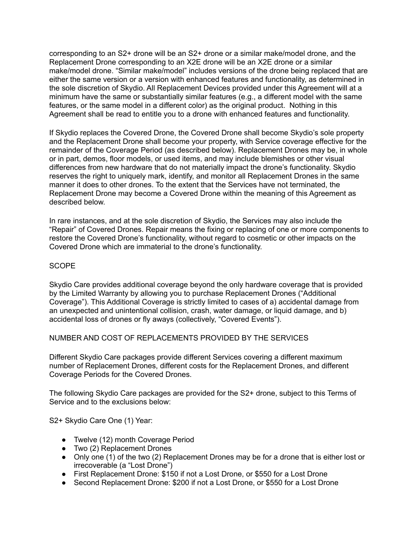corresponding to an S2+ drone will be an S2+ drone or a similar make/model drone, and the Replacement Drone corresponding to an X2E drone will be an X2E drone or a similar make/model drone. "Similar make/model" includes versions of the drone being replaced that are either the same version or a version with enhanced features and functionality, as determined in the sole discretion of Skydio. All Replacement Devices provided under this Agreement will at a minimum have the same or substantially similar features (e.g., a different model with the same features, or the same model in a different color) as the original product. Nothing in this Agreement shall be read to entitle you to a drone with enhanced features and functionality.

If Skydio replaces the Covered Drone, the Covered Drone shall become Skydio's sole property and the Replacement Drone shall become your property, with Service coverage effective for the remainder of the Coverage Period (as described below). Replacement Drones may be, in whole or in part, demos, floor models, or used items, and may include blemishes or other visual differences from new hardware that do not materially impact the drone's functionality. Skydio reserves the right to uniquely mark, identify, and monitor all Replacement Drones in the same manner it does to other drones. To the extent that the Services have not terminated, the Replacement Drone may become a Covered Drone within the meaning of this Agreement as described below.

In rare instances, and at the sole discretion of Skydio, the Services may also include the "Repair" of Covered Drones. Repair means the fixing or replacing of one or more components to restore the Covered Drone's functionality, without regard to cosmetic or other impacts on the Covered Drone which are immaterial to the drone's functionality.

## **SCOPE**

Skydio Care provides additional coverage beyond the only hardware coverage that is provided by the Limited Warranty by allowing you to purchase Replacement Drones ("Additional Coverage"). This Additional Coverage is strictly limited to cases of a) accidental damage from an unexpected and unintentional collision, crash, water damage, or liquid damage, and b) accidental loss of drones or fly aways (collectively, "Covered Events").

## NUMBER AND COST OF REPLACEMENTS PROVIDED BY THE SERVICES

Different Skydio Care packages provide different Services covering a different maximum number of Replacement Drones, different costs for the Replacement Drones, and different Coverage Periods for the Covered Drones.

The following Skydio Care packages are provided for the S2+ drone, subject to this Terms of Service and to the exclusions below:

S2+ Skydio Care One (1) Year:

- Twelve (12) month Coverage Period
- Two (2) Replacement Drones
- Only one (1) of the two (2) Replacement Drones may be for a drone that is either lost or irrecoverable (a "Lost Drone")
- First Replacement Drone: \$150 if not a Lost Drone, or \$550 for a Lost Drone
- Second Replacement Drone: \$200 if not a Lost Drone, or \$550 for a Lost Drone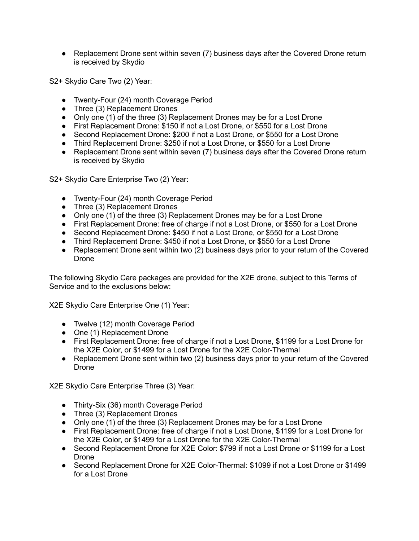● Replacement Drone sent within seven (7) business days after the Covered Drone return is received by Skydio

S2+ Skydio Care Two (2) Year:

- Twenty-Four (24) month Coverage Period
- Three (3) Replacement Drones
- Only one (1) of the three (3) Replacement Drones may be for a Lost Drone
- First Replacement Drone: \$150 if not a Lost Drone, or \$550 for a Lost Drone
- Second Replacement Drone: \$200 if not a Lost Drone, or \$550 for a Lost Drone
- Third Replacement Drone: \$250 if not a Lost Drone, or \$550 for a Lost Drone
- Replacement Drone sent within seven (7) business days after the Covered Drone return is received by Skydio

S2+ Skydio Care Enterprise Two (2) Year:

- Twenty-Four (24) month Coverage Period
- Three (3) Replacement Drones
- Only one (1) of the three (3) Replacement Drones may be for a Lost Drone
- First Replacement Drone: free of charge if not a Lost Drone, or \$550 for a Lost Drone
- Second Replacement Drone: \$450 if not a Lost Drone, or \$550 for a Lost Drone
- Third Replacement Drone: \$450 if not a Lost Drone, or \$550 for a Lost Drone
- Replacement Drone sent within two (2) business days prior to your return of the Covered Drone

The following Skydio Care packages are provided for the X2E drone, subject to this Terms of Service and to the exclusions below:

X2E Skydio Care Enterprise One (1) Year:

- Twelve (12) month Coverage Period
- One (1) Replacement Drone
- First Replacement Drone: free of charge if not a Lost Drone, \$1199 for a Lost Drone for the X2E Color, or \$1499 for a Lost Drone for the X2E Color-Thermal
- Replacement Drone sent within two (2) business days prior to your return of the Covered Drone

X2E Skydio Care Enterprise Three (3) Year:

- Thirty-Six (36) month Coverage Period
- Three (3) Replacement Drones
- Only one  $(1)$  of the three (3) Replacement Drones may be for a Lost Drone
- First Replacement Drone: free of charge if not a Lost Drone, \$1199 for a Lost Drone for the X2E Color, or \$1499 for a Lost Drone for the X2E Color-Thermal
- Second Replacement Drone for X2E Color: \$799 if not a Lost Drone or \$1199 for a Lost Drone
- **●** Second Replacement Drone for X2E Color-Thermal: \$1099 if not a Lost Drone or \$1499 for a Lost Drone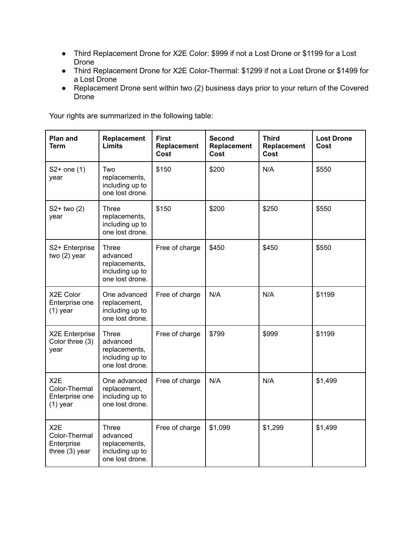- **●** Third Replacement Drone for X2E Color: \$999 if not a Lost Drone or \$1199 for a Lost Drone
- Third Replacement Drone for X2E Color-Thermal: \$1299 if not a Lost Drone or \$1499 for a Lost Drone
- Replacement Drone sent within two (2) business days prior to your return of the Covered Drone

Your rights are summarized in the following table:

| <b>Plan and</b><br><b>Term</b>                                    | Replacement<br>Limits                                                           | <b>First</b><br>Replacement<br>Cost | <b>Second</b><br>Replacement<br>Cost | <b>Third</b><br>Replacement<br>Cost | <b>Lost Drone</b><br>Cost |
|-------------------------------------------------------------------|---------------------------------------------------------------------------------|-------------------------------------|--------------------------------------|-------------------------------------|---------------------------|
| $S2+$ one $(1)$<br>year                                           | Two<br>replacements,<br>including up to<br>one lost drone.                      | \$150                               | \$200                                | N/A                                 | \$550                     |
| $S2+$ two $(2)$<br>year                                           | Three<br>replacements,<br>including up to<br>one lost drone.                    | \$150                               | \$200                                | \$250                               | \$550                     |
| S2+ Enterprise<br>two $(2)$ year                                  | Three<br>advanced<br>replacements,<br>including up to<br>one lost drone.        | Free of charge                      | \$450                                | \$450                               | \$550                     |
| X2E Color<br>Enterprise one<br>$(1)$ year                         | One advanced<br>replacement,<br>including up to<br>one lost drone.              | Free of charge                      | N/A                                  | N/A                                 | \$1199                    |
| X2E Enterprise<br>Color three (3)<br>year                         | Three<br>advanced<br>replacements,<br>including up to<br>one lost drone.        | Free of charge                      | \$799                                | \$999                               | \$1199                    |
| X <sub>2</sub> E<br>Color-Thermal<br>Enterprise one<br>$(1)$ year | One advanced<br>replacement,<br>including up to<br>one lost drone.              | Free of charge                      | N/A                                  | N/A                                 | \$1,499                   |
| X <sub>2</sub> E<br>Color-Thermal<br>Enterprise<br>three (3) year | <b>Three</b><br>advanced<br>replacements,<br>including up to<br>one lost drone. | Free of charge                      | \$1,099                              | \$1,299                             | \$1,499                   |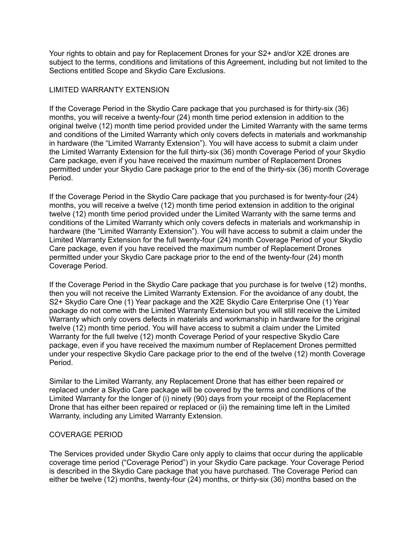Your rights to obtain and pay for Replacement Drones for your S2+ and/or X2E drones are subject to the terms, conditions and limitations of this Agreement, including but not limited to the Sections entitled Scope and Skydio Care Exclusions.

## LIMITED WARRANTY EXTENSION

If the Coverage Period in the Skydio Care package that you purchased is for thirty-six (36) months, you will receive a twenty-four (24) month time period extension in addition to the original twelve (12) month time period provided under the Limited Warranty with the same terms and conditions of the Limited Warranty which only covers defects in materials and workmanship in hardware (the "Limited Warranty Extension"). You will have access to submit a claim under the Limited Warranty Extension for the full thirty-six (36) month Coverage Period of your Skydio Care package, even if you have received the maximum number of Replacement Drones permitted under your Skydio Care package prior to the end of the thirty-six (36) month Coverage Period.

If the Coverage Period in the Skydio Care package that you purchased is for twenty-four (24) months, you will receive a twelve (12) month time period extension in addition to the original twelve (12) month time period provided under the Limited Warranty with the same terms and conditions of the Limited Warranty which only covers defects in materials and workmanship in hardware (the "Limited Warranty Extension"). You will have access to submit a claim under the Limited Warranty Extension for the full twenty-four (24) month Coverage Period of your Skydio Care package, even if you have received the maximum number of Replacement Drones permitted under your Skydio Care package prior to the end of the twenty-four (24) month Coverage Period.

If the Coverage Period in the Skydio Care package that you purchase is for twelve (12) months, then you will not receive the Limited Warranty Extension. For the avoidance of any doubt, the S2+ Skydio Care One (1) Year package and the X2E Skydio Care Enterprise One (1) Year package do not come with the Limited Warranty Extension but you will still receive the Limited Warranty which only covers defects in materials and workmanship in hardware for the original twelve (12) month time period. You will have access to submit a claim under the Limited Warranty for the full twelve (12) month Coverage Period of your respective Skydio Care package, even if you have received the maximum number of Replacement Drones permitted under your respective Skydio Care package prior to the end of the twelve (12) month Coverage Period.

Similar to the Limited Warranty, any Replacement Drone that has either been repaired or replaced under a Skydio Care package will be covered by the terms and conditions of the Limited Warranty for the longer of (i) ninety (90) days from your receipt of the Replacement Drone that has either been repaired or replaced or (ii) the remaining time left in the Limited Warranty, including any Limited Warranty Extension.

## COVERAGE PERIOD

The Services provided under Skydio Care only apply to claims that occur during the applicable coverage time period ("Coverage Period") in your Skydio Care package. Your Coverage Period is described in the Skydio Care package that you have purchased. The Coverage Period can either be twelve (12) months, twenty-four (24) months, or thirty-six (36) months based on the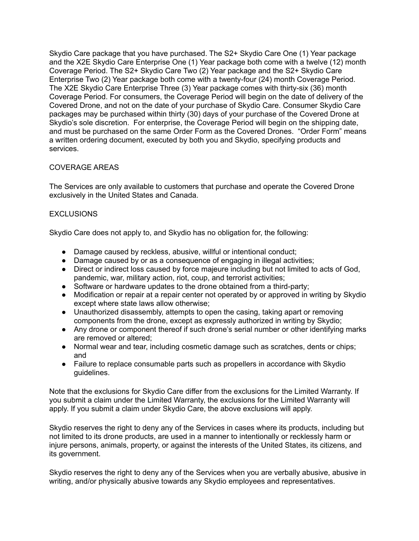Skydio Care package that you have purchased. The S2+ Skydio Care One (1) Year package and the X2E Skydio Care Enterprise One (1) Year package both come with a twelve (12) month Coverage Period. The S2+ Skydio Care Two (2) Year package and the S2+ Skydio Care Enterprise Two (2) Year package both come with a twenty-four (24) month Coverage Period. The X2E Skydio Care Enterprise Three (3) Year package comes with thirty-six (36) month Coverage Period. For consumers, the Coverage Period will begin on the date of delivery of the Covered Drone, and not on the date of your purchase of Skydio Care. Consumer Skydio Care packages may be purchased within thirty (30) days of your purchase of the Covered Drone at Skydio's sole discretion. For enterprise, the Coverage Period will begin on the shipping date, and must be purchased on the same Order Form as the Covered Drones. "Order Form" means a written ordering document, executed by both you and Skydio, specifying products and services.

# COVERAGE AREAS

The Services are only available to customers that purchase and operate the Covered Drone exclusively in the United States and Canada.

# **EXCLUSIONS**

Skydio Care does not apply to, and Skydio has no obligation for, the following:

- Damage caused by reckless, abusive, willful or intentional conduct;
- Damage caused by or as a consequence of engaging in illegal activities;
- Direct or indirect loss caused by force majeure including but not limited to acts of God, pandemic, war, military action, riot, coup, and terrorist activities;
- Software or hardware updates to the drone obtained from a third-party:
- Modification or repair at a repair center not operated by or approved in writing by Skydio except where state laws allow otherwise;
- Unauthorized disassembly, attempts to open the casing, taking apart or removing components from the drone, except as expressly authorized in writing by Skydio;
- Any drone or component thereof if such drone's serial number or other identifying marks are removed or altered;
- Normal wear and tear, including cosmetic damage such as scratches, dents or chips; and
- Failure to replace consumable parts such as propellers in accordance with Skydio guidelines.

Note that the exclusions for Skydio Care differ from the exclusions for the Limited Warranty. If you submit a claim under the Limited Warranty, the exclusions for the Limited Warranty will apply. If you submit a claim under Skydio Care, the above exclusions will apply.

Skydio reserves the right to deny any of the Services in cases where its products, including but not limited to its drone products, are used in a manner to intentionally or recklessly harm or injure persons, animals, property, or against the interests of the United States, its citizens, and its government.

Skydio reserves the right to deny any of the Services when you are verbally abusive, abusive in writing, and/or physically abusive towards any Skydio employees and representatives.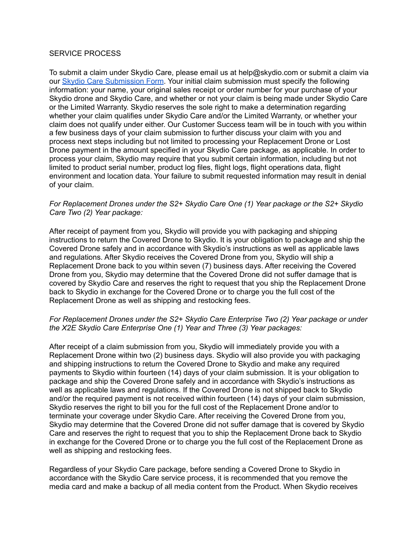#### SERVICE PROCESS

To submit a claim under Skydio Care, please email us at help@skydio.com or submit a claim via our Skydio Care [Submission](https://www.skydio.com/care) Form. Your initial claim submission must specify the following information: your name, your original sales receipt or order number for your purchase of your Skydio drone and Skydio Care, and whether or not your claim is being made under Skydio Care or the Limited Warranty. Skydio reserves the sole right to make a determination regarding whether your claim qualifies under Skydio Care and/or the Limited Warranty, or whether your claim does not qualify under either. Our Customer Success team will be in touch with you within a few business days of your claim submission to further discuss your claim with you and process next steps including but not limited to processing your Replacement Drone or Lost Drone payment in the amount specified in your Skydio Care package, as applicable. In order to process your claim, Skydio may require that you submit certain information, including but not limited to product serial number, product log files, flight logs, flight operations data, flight environment and location data. Your failure to submit requested information may result in denial of your claim.

### *For Replacement Drones under the S2+ Skydio Care One (1) Year package or the S2+ Skydio Care Two (2) Year package:*

After receipt of payment from you, Skydio will provide you with packaging and shipping instructions to return the Covered Drone to Skydio. It is your obligation to package and ship the Covered Drone safely and in accordance with Skydio's instructions as well as applicable laws and regulations. After Skydio receives the Covered Drone from you, Skydio will ship a Replacement Drone back to you within seven (7) business days. After receiving the Covered Drone from you, Skydio may determine that the Covered Drone did not suffer damage that is covered by Skydio Care and reserves the right to request that you ship the Replacement Drone back to Skydio in exchange for the Covered Drone or to charge you the full cost of the Replacement Drone as well as shipping and restocking fees.

#### *For Replacement Drones under the S2+ Skydio Care Enterprise Two (2) Year package or under the X2E Skydio Care Enterprise One (1) Year and Three (3) Year packages:*

After receipt of a claim submission from you, Skydio will immediately provide you with a Replacement Drone within two (2) business days. Skydio will also provide you with packaging and shipping instructions to return the Covered Drone to Skydio and make any required payments to Skydio within fourteen (14) days of your claim submission. It is your obligation to package and ship the Covered Drone safely and in accordance with Skydio's instructions as well as applicable laws and regulations. If the Covered Drone is not shipped back to Skydio and/or the required payment is not received within fourteen (14) days of your claim submission, Skydio reserves the right to bill you for the full cost of the Replacement Drone and/or to terminate your coverage under Skydio Care. After receiving the Covered Drone from you, Skydio may determine that the Covered Drone did not suffer damage that is covered by Skydio Care and reserves the right to request that you to ship the Replacement Drone back to Skydio in exchange for the Covered Drone or to charge you the full cost of the Replacement Drone as well as shipping and restocking fees.

Regardless of your Skydio Care package, before sending a Covered Drone to Skydio in accordance with the Skydio Care service process, it is recommended that you remove the media card and make a backup of all media content from the Product. When Skydio receives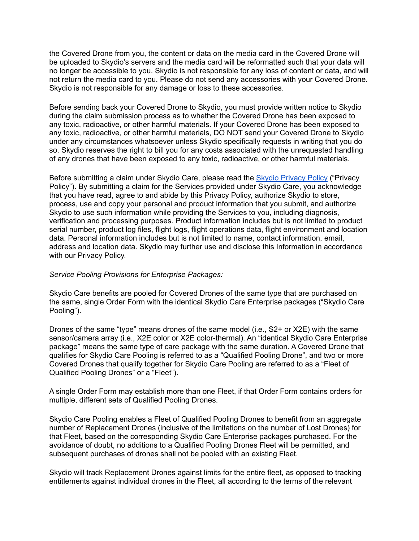the Covered Drone from you, the content or data on the media card in the Covered Drone will be uploaded to Skydio's servers and the media card will be reformatted such that your data will no longer be accessible to you. Skydio is not responsible for any loss of content or data, and will not return the media card to you. Please do not send any accessories with your Covered Drone. Skydio is not responsible for any damage or loss to these accessories.

Before sending back your Covered Drone to Skydio, you must provide written notice to Skydio during the claim submission process as to whether the Covered Drone has been exposed to any toxic, radioactive, or other harmful materials. If your Covered Drone has been exposed to any toxic, radioactive, or other harmful materials, DO NOT send your Covered Drone to Skydio under any circumstances whatsoever unless Skydio specifically requests in writing that you do so. Skydio reserves the right to bill you for any costs associated with the unrequested handling of any drones that have been exposed to any toxic, radioactive, or other harmful materials.

Before submitting a claim under Skydio Care, please read the Skydio [Privacy](https://www.skydio.com/legal/privacy-policy) Policy ("Privacy Policy"). By submitting a claim for the Services provided under Skydio Care, you acknowledge that you have read, agree to and abide by this Privacy Policy, authorize Skydio to store, process, use and copy your personal and product information that you submit, and authorize Skydio to use such information while providing the Services to you, including diagnosis, verification and processing purposes. Product information includes but is not limited to product serial number, product log files, flight logs, flight operations data, flight environment and location data. Personal information includes but is not limited to name, contact information, email, address and location data. Skydio may further use and disclose this Information in accordance with our Privacy Policy.

### *Service Pooling Provisions for Enterprise Packages:*

Skydio Care benefits are pooled for Covered Drones of the same type that are purchased on the same, single Order Form with the identical Skydio Care Enterprise packages ("Skydio Care Pooling").

Drones of the same "type" means drones of the same model (i.e., S2+ or X2E) with the same sensor/camera array (i.e., X2E color or X2E color-thermal). An "identical Skydio Care Enterprise package" means the same type of care package with the same duration. A Covered Drone that qualifies for Skydio Care Pooling is referred to as a "Qualified Pooling Drone", and two or more Covered Drones that qualify together for Skydio Care Pooling are referred to as a "Fleet of Qualified Pooling Drones" or a "Fleet").

A single Order Form may establish more than one Fleet, if that Order Form contains orders for multiple, different sets of Qualified Pooling Drones.

Skydio Care Pooling enables a Fleet of Qualified Pooling Drones to benefit from an aggregate number of Replacement Drones (inclusive of the limitations on the number of Lost Drones) for that Fleet, based on the corresponding Skydio Care Enterprise packages purchased. For the avoidance of doubt, no additions to a Qualified Pooling Drones Fleet will be permitted, and subsequent purchases of drones shall not be pooled with an existing Fleet.

Skydio will track Replacement Drones against limits for the entire fleet, as opposed to tracking entitlements against individual drones in the Fleet, all according to the terms of the relevant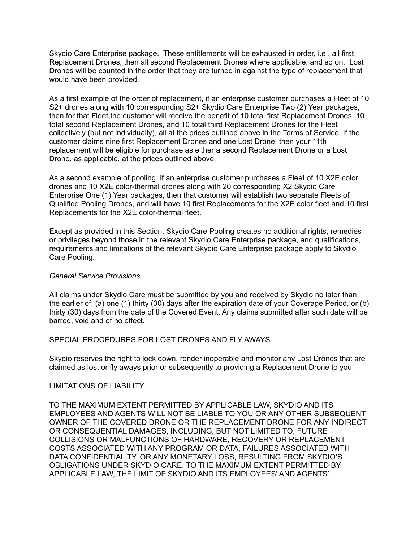Skydio Care Enterprise package. These entitlements will be exhausted in order, i.e., all first Replacement Drones, then all second Replacement Drones where applicable, and so on. Lost Drones will be counted in the order that they are turned in against the type of replacement that would have been provided.

As a first example of the order of replacement, if an enterprise customer purchases a Fleet of 10 S2+ drones along with 10 corresponding S2+ Skydio Care Enterprise Two (2) Year packages, then for that Fleet,the customer will receive the benefit of 10 total first Replacement Drones, 10 total second Replacement Drones, and 10 total third Replacement Drones for the Fleet collectively (but not individually), all at the prices outlined above in the Terms of Service. If the customer claims nine first Replacement Drones and one Lost Drone, then your 11th replacement will be eligible for purchase as either a second Replacement Drone or a Lost Drone, as applicable, at the prices outlined above.

As a second example of pooling, if an enterprise customer purchases a Fleet of 10 X2E color drones and 10 X2E color-thermal drones along with 20 corresponding X2 Skydio Care Enterprise One (1) Year packages, then that customer will establish two separate Fleets of Qualified Pooling Drones, and will have 10 first Replacements for the X2E color fleet and 10 first Replacements for the X2E color-thermal fleet.

Except as provided in this Section, Skydio Care Pooling creates no additional rights, remedies or privileges beyond those in the relevant Skydio Care Enterprise package, and qualifications, requirements and limitations of the relevant Skydio Care Enterprise package apply to Skydio Care Pooling.

#### *General Service Provisions*

All claims under Skydio Care must be submitted by you and received by Skydio no later than the earlier of: (a) one (1) thirty (30) days after the expiration date of your Coverage Period, or (b) thirty (30) days from the date of the Covered Event. Any claims submitted after such date will be barred, void and of no effect.

#### SPECIAL PROCEDURES FOR LOST DRONES AND FLY AWAYS

Skydio reserves the right to lock down, render inoperable and monitor any Lost Drones that are claimed as lost or fly aways prior or subsequently to providing a Replacement Drone to you.

#### LIMITATIONS OF LIABILITY

TO THE MAXIMUM EXTENT PERMITTED BY APPLICABLE LAW, SKYDIO AND ITS EMPLOYEES AND AGENTS WILL NOT BE LIABLE TO YOU OR ANY OTHER SUBSEQUENT OWNER OF THE COVERED DRONE OR THE REPLACEMENT DRONE FOR ANY INDIRECT OR CONSEQUENTIAL DAMAGES, INCLUDING, BUT NOT LIMITED TO, FUTURE COLLISIONS OR MALFUNCTIONS OF HARDWARE, RECOVERY OR REPLACEMENT COSTS ASSOCIATED WITH ANY PROGRAM OR DATA, FAILURES ASSOCIATED WITH DATA CONFIDENTIALITY, OR ANY MONETARY LOSS, RESULTING FROM SKYDIO'S OBLIGATIONS UNDER SKYDIO CARE. TO THE MAXIMUM EXTENT PERMITTED BY APPLICABLE LAW, THE LIMIT OF SKYDIO AND ITS EMPLOYEES' AND AGENTS'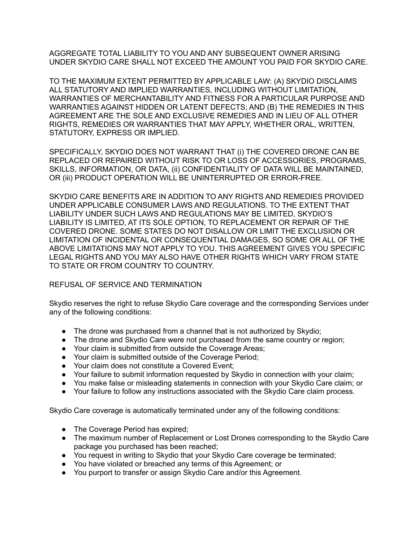AGGREGATE TOTAL LIABILITY TO YOU AND ANY SUBSEQUENT OWNER ARISING UNDER SKYDIO CARE SHALL NOT EXCEED THE AMOUNT YOU PAID FOR SKYDIO CARE.

TO THE MAXIMUM EXTENT PERMITTED BY APPLICABLE LAW: (A) SKYDIO DISCLAIMS ALL STATUTORY AND IMPLIED WARRANTIES, INCLUDING WITHOUT LIMITATION, WARRANTIES OF MERCHANTABILITY AND FITNESS FOR A PARTICULAR PURPOSE AND WARRANTIES AGAINST HIDDEN OR LATENT DEFECTS; AND (B) THE REMEDIES IN THIS AGREEMENT ARE THE SOLE AND EXCLUSIVE REMEDIES AND IN LIEU OF ALL OTHER RIGHTS, REMEDIES OR WARRANTIES THAT MAY APPLY, WHETHER ORAL, WRITTEN, STATUTORY, EXPRESS OR IMPLIED.

SPECIFICALLY, SKYDIO DOES NOT WARRANT THAT (i) THE COVERED DRONE CAN BE REPLACED OR REPAIRED WITHOUT RISK TO OR LOSS OF ACCESSORIES, PROGRAMS, SKILLS, INFORMATION, OR DATA, (ii) CONFIDENTIALITY OF DATA WILL BE MAINTAINED, OR (iii) PRODUCT OPERATION WILL BE UNINTERRUPTED OR ERROR-FREE.

SKYDIO CARE BENEFITS ARE IN ADDITION TO ANY RIGHTS AND REMEDIES PROVIDED UNDER APPLICABLE CONSUMER LAWS AND REGULATIONS. TO THE EXTENT THAT LIABILITY UNDER SUCH LAWS AND REGULATIONS MAY BE LIMITED, SKYDIO'S LIABILITY IS LIMITED, AT ITS SOLE OPTION, TO REPLACEMENT OR REPAIR OF THE COVERED DRONE. SOME STATES DO NOT DISALLOW OR LIMIT THE EXCLUSION OR LIMITATION OF INCIDENTAL OR CONSEQUENTIAL DAMAGES, SO SOME OR ALL OF THE ABOVE LIMITATIONS MAY NOT APPLY TO YOU. THIS AGREEMENT GIVES YOU SPECIFIC LEGAL RIGHTS AND YOU MAY ALSO HAVE OTHER RIGHTS WHICH VARY FROM STATE TO STATE OR FROM COUNTRY TO COUNTRY.

## REFUSAL OF SERVICE AND TERMINATION

Skydio reserves the right to refuse Skydio Care coverage and the corresponding Services under any of the following conditions:

- The drone was purchased from a channel that is not authorized by Skydio;
- The drone and Skydio Care were not purchased from the same country or region;
- Your claim is submitted from outside the Coverage Areas;
- Your claim is submitted outside of the Coverage Period;
- Your claim does not constitute a Covered Event:
- Your failure to submit information requested by Skydio in connection with your claim;
- You make false or misleading statements in connection with your Skydio Care claim; or
- Your failure to follow any instructions associated with the Skydio Care claim process.

Skydio Care coverage is automatically terminated under any of the following conditions:

- The Coverage Period has expired;
- The maximum number of Replacement or Lost Drones corresponding to the Skydio Care package you purchased has been reached;
- You request in writing to Skydio that your Skydio Care coverage be terminated;
- You have violated or breached any terms of this Agreement; or
- You purport to transfer or assign Skydio Care and/or this Agreement.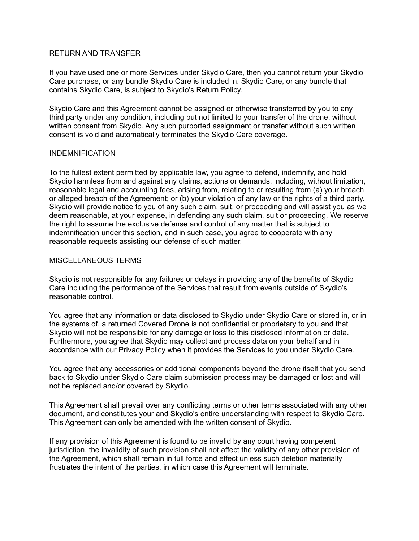#### RETURN AND TRANSFER

If you have used one or more Services under Skydio Care, then you cannot return your Skydio Care purchase, or any bundle Skydio Care is included in. Skydio Care, or any bundle that contains Skydio Care, is subject to Skydio's Return Policy.

Skydio Care and this Agreement cannot be assigned or otherwise transferred by you to any third party under any condition, including but not limited to your transfer of the drone, without written consent from Skydio. Any such purported assignment or transfer without such written consent is void and automatically terminates the Skydio Care coverage.

#### INDEMNIFICATION

To the fullest extent permitted by applicable law, you agree to defend, indemnify, and hold Skydio harmless from and against any claims, actions or demands, including, without limitation, reasonable legal and accounting fees, arising from, relating to or resulting from (a) your breach or alleged breach of the Agreement; or (b) your violation of any law or the rights of a third party. Skydio will provide notice to you of any such claim, suit, or proceeding and will assist you as we deem reasonable, at your expense, in defending any such claim, suit or proceeding. We reserve the right to assume the exclusive defense and control of any matter that is subject to indemnification under this section, and in such case, you agree to cooperate with any reasonable requests assisting our defense of such matter.

#### MISCELLANEOUS TERMS

Skydio is not responsible for any failures or delays in providing any of the benefits of Skydio Care including the performance of the Services that result from events outside of Skydio's reasonable control.

You agree that any information or data disclosed to Skydio under Skydio Care or stored in, or in the systems of, a returned Covered Drone is not confidential or proprietary to you and that Skydio will not be responsible for any damage or loss to this disclosed information or data. Furthermore, you agree that Skydio may collect and process data on your behalf and in accordance with our Privacy Policy when it provides the Services to you under Skydio Care.

You agree that any accessories or additional components beyond the drone itself that you send back to Skydio under Skydio Care claim submission process may be damaged or lost and will not be replaced and/or covered by Skydio.

This Agreement shall prevail over any conflicting terms or other terms associated with any other document, and constitutes your and Skydio's entire understanding with respect to Skydio Care. This Agreement can only be amended with the written consent of Skydio.

If any provision of this Agreement is found to be invalid by any court having competent jurisdiction, the invalidity of such provision shall not affect the validity of any other provision of the Agreement, which shall remain in full force and effect unless such deletion materially frustrates the intent of the parties, in which case this Agreement will terminate.